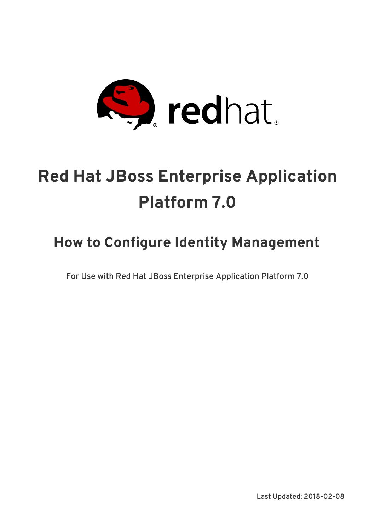

# **Red Hat JBoss Enterprise Application Platform 7.0**

## **How to Configure Identity Management**

For Use with Red Hat JBoss Enterprise Application Platform 7.0

Last Updated: 2018-02-08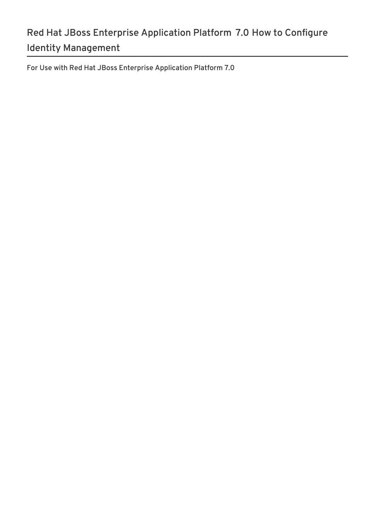## Red Hat JBoss Enterprise Application Platform 7.0 How to Configure Identity Management

For Use with Red Hat JBoss Enterprise Application Platform 7.0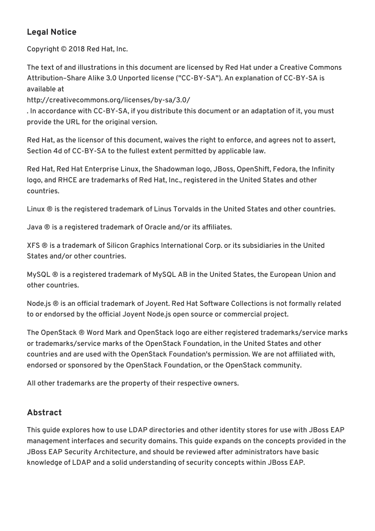## **Legal Notice**

Copyright © 2018 Red Hat, Inc.

The text of and illustrations in this document are licensed by Red Hat under a Creative Commons Attribution–Share Alike 3.0 Unported license ("CC-BY-SA"). An explanation of CC-BY-SA is available at

http://creativecommons.org/licenses/by-sa/3.0/

. In accordance with CC-BY-SA, if you distribute this document or an adaptation of it, you must provide the URL for the original version.

Red Hat, as the licensor of this document, waives the right to enforce, and agrees not to assert, Section 4d of CC-BY-SA to the fullest extent permitted by applicable law.

Red Hat, Red Hat Enterprise Linux, the Shadowman logo, JBoss, OpenShift, Fedora, the Infinity logo, and RHCE are trademarks of Red Hat, Inc., registered in the United States and other countries.

Linux ® is the registered trademark of Linus Torvalds in the United States and other countries.

Java ® is a registered trademark of Oracle and/or its affiliates.

XFS ® is a trademark of Silicon Graphics International Corp. or its subsidiaries in the United States and/or other countries.

MySQL ® is a registered trademark of MySQL AB in the United States, the European Union and other countries.

Node.js ® is an official trademark of Joyent. Red Hat Software Collections is not formally related to or endorsed by the official Joyent Node.js open source or commercial project.

The OpenStack ® Word Mark and OpenStack logo are either registered trademarks/service marks or trademarks/service marks of the OpenStack Foundation, in the United States and other countries and are used with the OpenStack Foundation's permission. We are not affiliated with, endorsed or sponsored by the OpenStack Foundation, or the OpenStack community.

All other trademarks are the property of their respective owners.

## **Abstract**

This guide explores how to use LDAP directories and other identity stores for use with JBoss EAP management interfaces and security domains. This guide expands on the concepts provided in the JBoss EAP Security Architecture, and should be reviewed after administrators have basic knowledge of LDAP and a solid understanding of security concepts within JBoss EAP.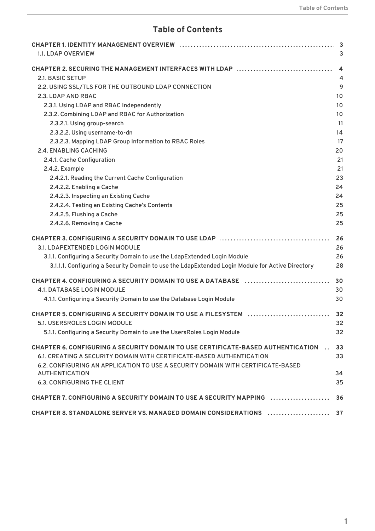## **Table of Contents**

| 1.1. LDAP OVERVIEW                                                                               |    |
|--------------------------------------------------------------------------------------------------|----|
|                                                                                                  |    |
| 2.1. BASIC SETUP                                                                                 |    |
| 2.2. USING SSL/TLS FOR THE OUTBOUND LDAP CONNECTION                                              |    |
| 2.3. LDAP AND RBAC                                                                               |    |
| 2.3.1. Using LDAP and RBAC Independently                                                         |    |
| 2.3.2. Combining LDAP and RBAC for Authorization                                                 |    |
| 2.3.2.1. Using group-search                                                                      |    |
| 2.3.2.2. Using username-to-dn                                                                    |    |
| 2.3.2.3. Mapping LDAP Group Information to RBAC Roles                                            | 17 |
| 2.4. ENABLING CACHING                                                                            | 20 |
| 2.4.1. Cache Configuration                                                                       | 21 |
| 2.4.2. Example                                                                                   |    |
| 2.4.2.1. Reading the Current Cache Configuration                                                 | 23 |
| 2.4.2.2. Enabling a Cache                                                                        | 24 |
| 2.4.2.3. Inspecting an Existing Cache                                                            | 24 |
| 2.4.2.4. Testing an Existing Cache's Contents                                                    | 25 |
| 2.4.2.5. Flushing a Cache                                                                        | 25 |
| 2.4.2.6. Removing a Cache                                                                        | 25 |
|                                                                                                  |    |
| 3.1. LDAPEXTENDED LOGIN MODULE                                                                   | 26 |
| 3.1.1. Configuring a Security Domain to use the LdapExtended Login Module                        | 26 |
| 3.1.1.1. Configuring a Security Domain to use the LdapExtended Login Module for Active Directory | 28 |
| CHAPTER 4. CONFIGURING A SECURITY DOMAIN TO USE A DATABASE                                       | 30 |
| 4.1. DATABASE LOGIN MODULE                                                                       | 30 |
| 4.1.1. Configuring a Security Domain to use the Database Login Module                            | 30 |
|                                                                                                  |    |
| 5.1. USERSROLES LOGIN MODULE                                                                     | 32 |
| 5.1.1. Configuring a Security Domain to use the Users Roles Login Module                         | 32 |
| CHAPTER 6. CONFIGURING A SECURITY DOMAIN TO USE CERTIFICATE-BASED AUTHENTICATION                 | 33 |
| 6.1. CREATING A SECURITY DOMAIN WITH CERTIFICATE-BASED AUTHENTICATION                            | 33 |
| 6.2. CONFIGURING AN APPLICATION TO USE A SECURITY DOMAIN WITH CERTIFICATE-BASED                  |    |
| <b>AUTHENTICATION</b>                                                                            | 34 |
| <b>6.3. CONFIGURING THE CLIENT</b>                                                               | 35 |
|                                                                                                  |    |
|                                                                                                  |    |
|                                                                                                  |    |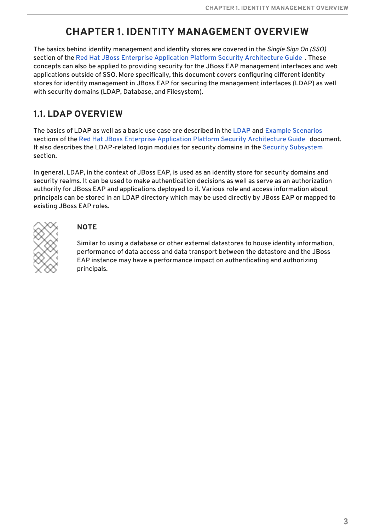## **CHAPTER 1. IDENTITY MANAGEMENT OVERVIEW**

<span id="page-6-0"></span>The basics behind identity management and identity stores are covered in the *Single Sign On (SSO)* section of the Red Hat JBoss Enterprise Application Platform Security [Architecture](https://access.redhat.com/documentation/en-us/red_hat_jboss_enterprise_application_platform/7.0/html-single/security_architecture/#single_sign_on_sso) Guide . These concepts can also be applied to providing security for the JBoss EAP management interfaces and web applications outside of SSO. More specifically, this document covers configuring different identity stores for identity management in JBoss EAP for securing the management interfaces (LDAP) as well with security domains (LDAP, Database, and Filesystem).

## <span id="page-6-1"></span>**1.1. LDAP OVERVIEW**

The basics of LDAP as well as a basic use case are described in the [LDAP](https://access.redhat.com/documentation/en-us/red_hat_jboss_enterprise_application_platform/7.0/html-single/security_architecture/#ldap) and Example [Scenarios](https://access.redhat.com/documentation/en-us/red_hat_jboss_enterprise_application_platform/7.0/html-single/security_architecture/#example_scenarios) sections of the Red Hat JBoss Enterprise Application Platform Security [Architecture](https://access.redhat.com/documentation/en-us/red_hat_jboss_enterprise_application_platform/7.0/html-single/security_architecture/) Guide document. It also describes the LDAP-related login modules for security domains in the Security [Subsystem](https://access.redhat.com/documentation/en-us/red_hat_jboss_enterprise_application_platform/7.0/html-single/security_architecture/#security_subsystem) section.

In general, LDAP, in the context of JBoss EAP, is used as an identity store for security domains and security realms. It can be used to make authentication decisions as well as serve as an authorization authority for JBoss EAP and applications deployed to it. Various role and access information about principals can be stored in an LDAP directory which may be used directly by JBoss EAP or mapped to existing JBoss EAP roles.



## **NOTE**

Similar to using a database or other external datastores to house identity information, performance of data access and data transport between the datastore and the JBoss EAP instance may have a performance impact on authenticating and authorizing principals.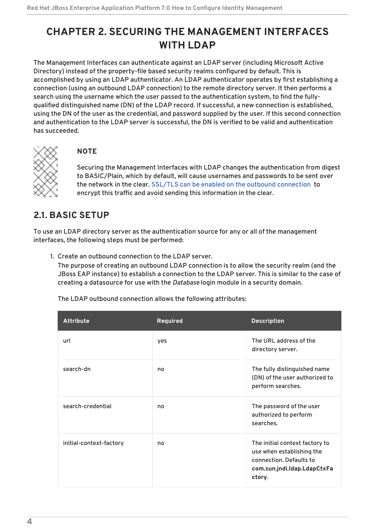## <span id="page-7-0"></span>**CHAPTER 2. SECURING THE MANAGEMENT INTERFACES WITH LDAP**

The Management Interfaces can authenticate against an LDAP server (including Microsoft Active Directory) instead of the property-file based security realms configured by default. This is accomplished by using an LDAP authenticator. An LDAP authenticator operates by first establishing a connection (using an outbound LDAP connection) to the remote directory server. It then performs a search using the username which the user passed to the authentication system, to find the fullyqualified distinguished name (DN) of the LDAP record. If successful, a new connection is established, using the DN of the user as the credential, and password supplied by the user. If this second connection and authentication to the LDAP server is successful, the DN is verified to be valid and authentication has succeeded.



#### **NOTE**

Securing the Management Interfaces with LDAP changes the authentication from digest to BASIC/Plain, which by default, will cause usernames and passwords to be sent over the network in the clear. SSL/TLS can be enabled on the outbound [connection](#page-12-0) to encrypt this traffic and avoid sending this information in the clear.

## <span id="page-7-1"></span>**2.1. BASIC SETUP**

To use an LDAP directory server as the authentication source for any or all of the management interfaces, the following steps must be performed:

1. Create an outbound connection to the LDAP server.

The purpose of creating an outbound LDAP connection is to allow the security realm (and the JBoss EAP instance) to establish a connection to the LDAP server. This is similar to the case of creating a datasource for use with the *Database* login module in a security domain.

| <b>Attribute</b>        | <b>Required</b> | <b>Description</b>                                                                                                              |
|-------------------------|-----------------|---------------------------------------------------------------------------------------------------------------------------------|
| url                     | yes             | The URL address of the<br>directory server.                                                                                     |
| search-dn               | no              | The fully distinguished name<br>(DN) of the user authorized to<br>perform searches.                                             |
| search-credential       | no              | The password of the user<br>authorized to perform<br>searches.                                                                  |
| initial-context-factory | no              | The initial context factory to<br>use when establishing the<br>connection. Defaults to<br>com.sun.jndi.ldap.LdapCtxFa<br>ctory. |

The LDAP outbound connection allows the following attributes: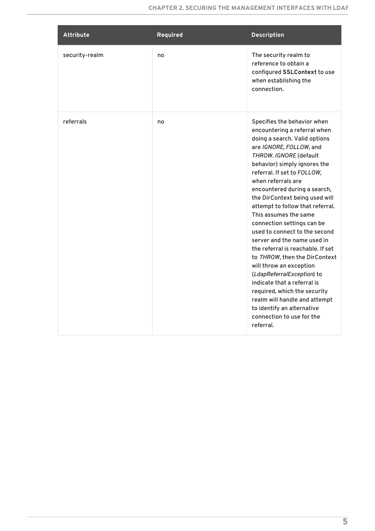| <b>Attribute</b> | Required | <b>Description</b>                                                                                                                                                                                                                                                                                                                                                                                                                                                                                                                                                                                                                                                                                                                                                         |
|------------------|----------|----------------------------------------------------------------------------------------------------------------------------------------------------------------------------------------------------------------------------------------------------------------------------------------------------------------------------------------------------------------------------------------------------------------------------------------------------------------------------------------------------------------------------------------------------------------------------------------------------------------------------------------------------------------------------------------------------------------------------------------------------------------------------|
| security-realm   | no       | The security realm to<br>reference to obtain a<br>configured SSLContext to use<br>when establishing the<br>connection.                                                                                                                                                                                                                                                                                                                                                                                                                                                                                                                                                                                                                                                     |
| referrals        | no       | Specifies the behavior when<br>encountering a referral when<br>doing a search. Valid options<br>are IGNORE, FOLLOW, and<br>THROW. IGNORE (default<br>behavior) simply ignores the<br>referral. If set to FOLLOW,<br>when referrals are<br>encountered during a search,<br>the DirContext being used will<br>attempt to follow that referral.<br>This assumes the same<br>connection settings can be<br>used to connect to the second<br>server and the name used in<br>the referral is reachable. If set<br>to THROW, then the DirContext<br>will throw an exception<br>(LdapReferralException) to<br>indicate that a referral is<br>required, which the security<br>realm will handle and attempt<br>to identify an alternative<br>connection to use for the<br>referral. |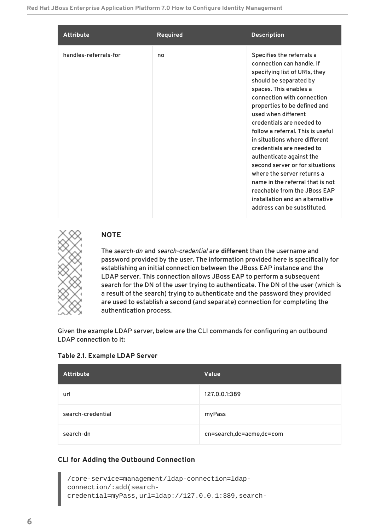<span id="page-9-0"></span>

| <b>Attribute</b>      | Required | <b>Description</b>                                                                                                                                                                                                                                                                                                                                                                                                                                                                                                                                                                                  |
|-----------------------|----------|-----------------------------------------------------------------------------------------------------------------------------------------------------------------------------------------------------------------------------------------------------------------------------------------------------------------------------------------------------------------------------------------------------------------------------------------------------------------------------------------------------------------------------------------------------------------------------------------------------|
| handles-referrals-for | no       | Specifies the referrals a<br>connection can handle. If<br>specifying list of URIs, they<br>should be separated by<br>spaces. This enables a<br>connection with connection<br>properties to be defined and<br>used when different<br>credentials are needed to<br>follow a referral. This is useful<br>in situations where different<br>credentials are needed to<br>authenticate against the<br>second server or for situations<br>where the server returns a<br>name in the referral that is not<br>reachable from the JBoss EAP<br>installation and an alternative<br>address can be substituted. |



## **NOTE**

The *search-dn* and *search-credential* are **different** than the username and password provided by the user. The information provided here is specifically for establishing an initial connection between the JBoss EAP instance and the LDAP server. This connection allows JBoss EAP to perform a subsequent search for the DN of the user trying to authenticate. The DN of the user (which is a result of the search) trying to authenticate and the password they provided are used to establish a second (and separate) connection for completing the authentication process.

Given the example LDAP server, below are the CLI commands for configuring an outbound LDAP connection to it:

| <b>Attribute</b>  | Value                    |
|-------------------|--------------------------|
| url               | 127.0.0.1:389            |
| search-credential | myPass                   |
| search-dn         | cn=search,dc=acme,dc=com |

#### **Table 2.1. Example LDAP Server**

## **CLI for Adding the Outbound Connection**

```
/core-service=management/ldap-connection=ldap-
connection/:add(search-
credential=myPass,url=ldap://127.0.0.1:389,search-
```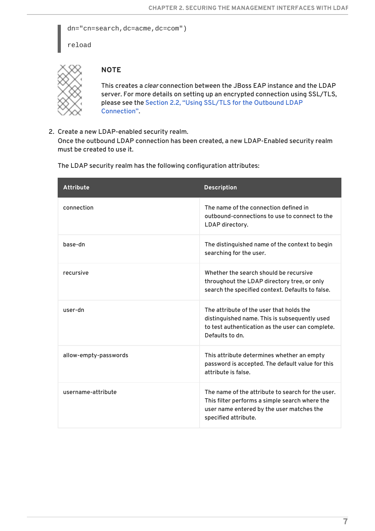dn="cn=search,dc=acme,dc=com")

reload



## **NOTE**

This creates a *clear* connection between the JBoss EAP instance and the LDAP server. For more details on setting up an encrypted connection using SSL/TLS, please see the Section 2.2, "Using SSL/TLS for the Outbound LDAP [Connection".](#page-12-0)

2. Create a new LDAP-enabled security realm. Once the outbound LDAP connection has been created, a new LDAP-Enabled security realm must be created to use it.

| <b>Attribute</b>      | <b>Description</b>                                                                                                                                                       |
|-----------------------|--------------------------------------------------------------------------------------------------------------------------------------------------------------------------|
| connection            | The name of the connection defined in<br>outbound-connections to use to connect to the<br>LDAP directory.                                                                |
| base-dn               | The distinguished name of the context to begin<br>searching for the user.                                                                                                |
| recursive             | Whether the search should be recursive<br>throughout the LDAP directory tree, or only<br>search the specified context. Defaults to false.                                |
| user-dn               | The attribute of the user that holds the<br>distinguished name. This is subsequently used<br>to test authentication as the user can complete.<br>Defaults to dn.         |
| allow-empty-passwords | This attribute determines whether an empty<br>password is accepted. The default value for this<br>attribute is false.                                                    |
| username-attribute    | The name of the attribute to search for the user.<br>This filter performs a simple search where the<br>user name entered by the user matches the<br>specified attribute. |

The LDAP security realm has the following configuration attributes: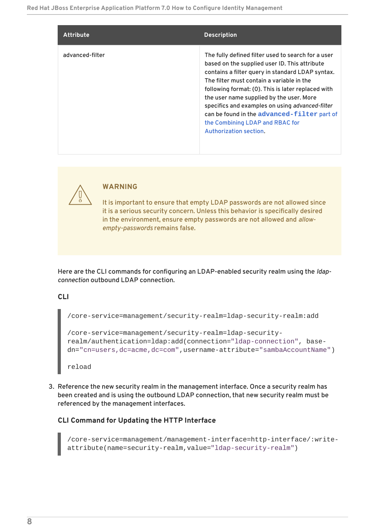| <b>Attribute</b> | <b>Description</b>                                                                                                                                                                                                                                                                                                                                                                                                                                                    |
|------------------|-----------------------------------------------------------------------------------------------------------------------------------------------------------------------------------------------------------------------------------------------------------------------------------------------------------------------------------------------------------------------------------------------------------------------------------------------------------------------|
| advanced-filter  | The fully defined filter used to search for a user<br>based on the supplied user ID. This attribute<br>contains a filter query in standard LDAP syntax.<br>The filter must contain a variable in the<br>following format: {0}. This is later replaced with<br>the user name supplied by the user. More<br>specifics and examples on using advanced-filter<br>can be found in the advanced-filter part of<br>the Combining LDAP and RBAC for<br>Authorization section. |



## **WARNING**

It is important to ensure that empty LDAP passwords are not allowed since it is a serious security concern. Unless this behavior is specifically desired in the environment, ensure empty passwords are not allowed and *allowempty-passwords* remains false.

Here are the CLI commands for configuring an LDAP-enabled security realm using the *ldapconnection* outbound LDAP connection.

## **CLI**

/core-service=management/security-realm=ldap-security-realm:add

```
/core-service=management/security-realm=ldap-security-
realm/authentication=ldap:add(connection="ldap-connection", base-
dn="cn=users,dc=acme,dc=com",username-attribute="sambaAccountName")
```
reload

3. Reference the new security realm in the management interface. Once a security realm has been created and is using the outbound LDAP connection, that new security realm must be referenced by the management interfaces.

#### **CLI Command for Updating the HTTP Interface**

/core-service=management/management-interface=http-interface/:writeattribute(name=security-realm,value="ldap-security-realm")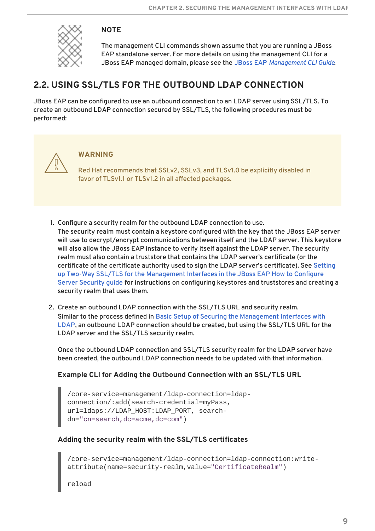

## **NOTE**

The management CLI commands shown assume that you are running a JBoss EAP standalone server. For more details on using the management CLI for a JBoss EAP managed domain, please see the JBoss EAP *[Management](https://access.redhat.com/documentation/en-us/red_hat_jboss_enterprise_application_platform/7.0/html-single/management_cli_guide/) CLI Guide*.

## <span id="page-12-0"></span>**2.2. USING SSL/TLS FOR THE OUTBOUND LDAP CONNECTION**

JBoss EAP can be configured to use an outbound connection to an LDAP server using SSL/TLS. To create an outbound LDAP connection secured by SSL/TLS, the following procedures must be performed:

## **WARNING**

Red Hat recommends that SSLv2, SSLv3, and TLSv1.0 be explicitly disabled in favor of TLSv1.1 or TLSv1.2 in all affected packages.

1. Configure a security realm for the outbound LDAP connection to use.

The security realm must contain a keystore configured with the key that the JBoss EAP server will use to decrypt/encrypt communications between itself and the LDAP server. This keystore will also allow the JBoss EAP instance to verify itself against the LDAP server. The security realm must also contain a truststore that contains the LDAP server's certificate (or the certificate of the certificate authority used to sign the LDAP server's certificate). See Setting up Two-Way SSL/TLS for the [Management](https://access.redhat.com/documentation/en-us/red_hat_jboss_enterprise_application_platform/7.0/html-single/how_to_configure_server_security/#mgmt-interface-2-way-ssl) Interfaces in the JBoss EAP How to Configure Server Security guide for instructions on configuring keystores and truststores and creating a security realm that uses them.

2. Create an outbound LDAP connection with the SSL/TLS URL and security realm. Similar to the process defined in Basic Setup of Securing the [Management](#page-9-0) Interfaces with LDAP, an outbound LDAP connection should be created, but using the SSL/TLS URL for the LDAP server and the SSL/TLS security realm.

Once the outbound LDAP connection and SSL/TLS security realm for the LDAP server have been created, the outbound LDAP connection needs to be updated with that information.

## **Example CLI for Adding the Outbound Connection with an SSL/TLS URL**

```
/core-service=management/ldap-connection=ldap-
connection/:add(search-credential=myPass,
url=ldaps://LDAP_HOST:LDAP_PORT, search-
dn="cn=search,dc=acme,dc=com")
```
## **Adding the security realm with the SSL/TLS certificates**

```
/core-service=management/ldap-connection=ldap-connection:write-
attribute(name=security-realm,value="CertificateRealm")
```
reload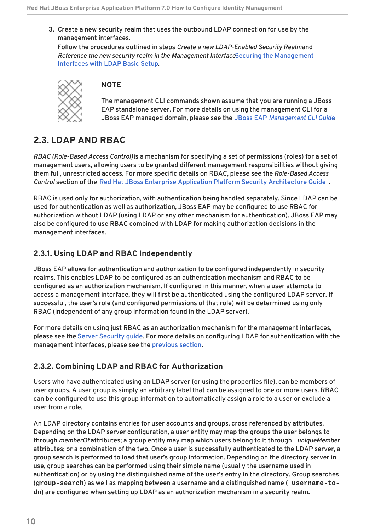3. Create a new security realm that uses the outbound LDAP connection for use by the management interfaces.

Follow the procedures outlined in steps *Create a new LDAP-Enabled Security Realm*and *Reference the new security realm in the Management Interface*Securing the [Management](#page-9-0) Interfaces with LDAP Basic Setup.



## **NOTE**

The management CLI commands shown assume that you are running a JBoss EAP standalone server. For more details on using the management CLI for a JBoss EAP managed domain, please see the JBoss EAP *[Management](https://access.redhat.com/documentation/en-us/red_hat_jboss_enterprise_application_platform/7.0/html-single/management_cli_guide/) CLI Guide*.

## <span id="page-13-0"></span>**2.3. LDAP AND RBAC**

*RBAC (Role-Based Access Control)*is a mechanism for specifying a set of permissions (roles) for a set of management users, allowing users to be granted different management responsibilities without giving them full, unrestricted access. For more specific details on RBAC, please see the *Role-Based Access Control* section of the Red Hat JBoss Enterprise Application Platform Security [Architecture](https://access.redhat.com/documentation/en-us/red_hat_jboss_enterprise_application_platform/7.0/html-single/security_architecture/#role_based_access_control) Guide .

RBAC is used only for authorization, with authentication being handled separately. Since LDAP can be used for authentication as well as authorization, JBoss EAP may be configured to use RBAC for authorization without LDAP (using LDAP or any other mechanism for authentication). JBoss EAP may also be configured to use RBAC combined with LDAP for making authorization decisions in the management interfaces.

## <span id="page-13-1"></span>**2.3.1. Using LDAP and RBAC Independently**

JBoss EAP allows for authentication and authorization to be configured independently in security realms. This enables LDAP to be configured as an authentication mechanism and RBAC to be configured as an authorization mechanism. If configured in this manner, when a user attempts to access a management interface, they will first be authenticated using the configured LDAP server. If successful, the user's role (and configured permissions of that role) will be determined using only RBAC (independent of any group information found in the LDAP server).

For more details on using just RBAC as an authorization mechanism for the management interfaces, please see the Server [Security](https://access.redhat.com/documentation/en-us/red_hat_jboss_enterprise_application_platform/7.0/html-single/how_to_configure_server_security/#role_based_access_control) guide. For more details on configuring LDAP for authentication with the management interfaces, please see the [previous](#page-9-0) section.

## <span id="page-13-2"></span>**2.3.2. Combining LDAP and RBAC for Authorization**

Users who have authenticated using an LDAP server (or using the properties file), can be members of user groups. A user group is simply an arbitrary label that can be assigned to one or more users. RBAC can be configured to use this group information to automatically assign a role to a user or exclude a user from a role.

An LDAP directory contains entries for user accounts and groups, cross referenced by attributes. Depending on the LDAP server configuration, a user entity may map the groups the user belongs to through *memberOf* attributes; a group entity may map which users belong to it through *uniqueMember* attributes; or a combination of the two. Once a user is successfully authenticated to the LDAP server, a group search is performed to load that user's group information. Depending on the directory server in use, group searches can be performed using their simple name (usually the username used in authentication) or by using the distinguished name of the user's entry in the directory. Group searches (**group-search**) as well as mapping between a username and a distinguished name ( **username-todn**) are configured when setting up LDAP as an authorization mechanism in a security realm.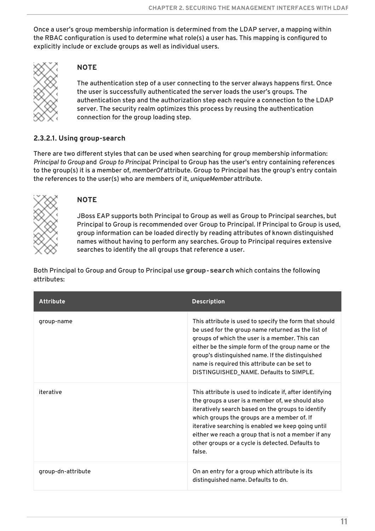Once a user's group membership information is determined from the LDAP server, a mapping within the RBAC configuration is used to determine what role(s) a user has. This mapping is configured to explicitly include or exclude groups as well as individual users.



## **NOTE**

The authentication step of a user connecting to the server always happens first. Once the user is successfully authenticated the server loads the user's groups. The authentication step and the authorization step each require a connection to the LDAP server. The security realm optimizes this process by reusing the authentication connection for the group loading step.

## <span id="page-14-0"></span>**2.3.2.1. Using group-search**

There are two different styles that can be used when searching for group membership information: *Principal to Group* and *Group to Principal*. Principal to Group has the user's entry containing references to the group(s) it is a member of, *memberOf* attribute. Group to Principal has the group's entry contain the references to the user(s) who are members of it, *uniqueMember* attribute.



## **NOTE**

JBoss EAP supports both Principal to Group as well as Group to Principal searches, but Principal to Group is recommended over Group to Principal. If Principal to Group is used, group information can be loaded directly by reading attributes of known distinguished names without having to perform any searches. Group to Principal requires extensive searches to identify the all groups that reference a user.

Both Principal to Group and Group to Principal use **group-search** which contains the following attributes:

| <b>Attribute</b>   | <b>Description</b>                                                                                                                                                                                                                                                                                                                                                                           |
|--------------------|----------------------------------------------------------------------------------------------------------------------------------------------------------------------------------------------------------------------------------------------------------------------------------------------------------------------------------------------------------------------------------------------|
| group-name         | This attribute is used to specify the form that should<br>be used for the group name returned as the list of<br>groups of which the user is a member. This can<br>either be the simple form of the group name or the<br>group's distinguished name. If the distinguished<br>name is required this attribute can be set to<br>DISTINGUISHED_NAME. Defaults to SIMPLE.                         |
| iterative          | This attribute is used to indicate if, after identifying<br>the groups a user is a member of, we should also<br>iteratively search based on the groups to identify<br>which groups the groups are a member of. If<br>iterative searching is enabled we keep going until<br>either we reach a group that is not a member if any<br>other groups or a cycle is detected. Defaults to<br>false. |
| group-dn-attribute | On an entry for a group which attribute is its<br>distinguished name. Defaults to dn.                                                                                                                                                                                                                                                                                                        |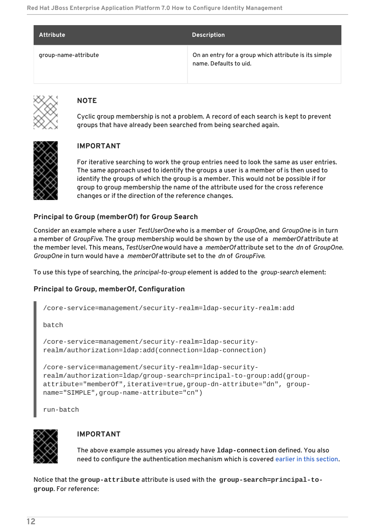| <b>Attribute</b>     | <b>Description</b>                                                              |
|----------------------|---------------------------------------------------------------------------------|
| group-name-attribute | On an entry for a group which attribute is its simple<br>name. Defaults to uid. |



## **NOTE**

Cyclic group membership is not a problem. A record of each search is kept to prevent groups that have already been searched from being searched again.



## **IMPORTANT**

For iterative searching to work the group entries need to look the same as user entries. The same approach used to identify the groups a user is a member of is then used to identify the groups of which the group is a member. This would not be possible if for group to group membership the name of the attribute used for the cross reference changes or if the direction of the reference changes.

## **Principal to Group (memberOf) for Group Search**

Consider an example where a user *TestUserOne* who is a member of *GroupOne*, and *GroupOne* is in turn a member of *GroupFive*. The group membership would be shown by the use of a *memberOf* attribute at the member level. This means, *TestUserOne* would have a *memberOf* attribute set to the *dn* of *GroupOne*. *GroupOne* in turn would have a *memberOf* attribute set to the *dn* of *GroupFive*.

To use this type of searching, the *principal-to-group* element is added to the *group-search* element:

## **Principal to Group, memberOf, Configuration**

```
/core-service=management/security-realm=ldap-security-realm:add
```
batch

```
/core-service=management/security-realm=ldap-security-
realm/authorization=ldap:add(connection=ldap-connection)
```

```
/core-service=management/security-realm=ldap-security-
realm/authorization=ldap/group-search=principal-to-group:add(group-
attribute="memberOf",iterative=true,group-dn-attribute="dn", group-
name="SIMPLE",group-name-attribute="cn")
```
run-batch



## **IMPORTANT**

The above example assumes you already have **ldap-connection** defined. You also need to configure the authentication mechanism which is covered earlier in this [section.](#page-9-0)

Notice that the **group-attribute** attribute is used with the **group-search=principal-togroup**. For reference: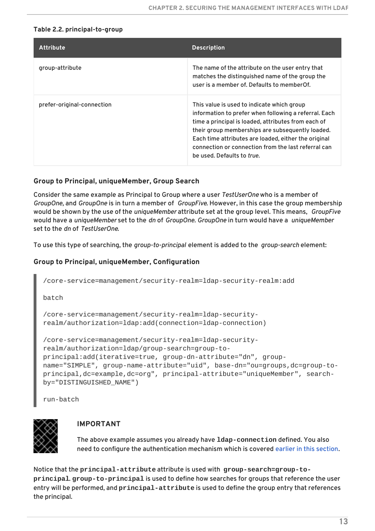|  | Table 2.2. principal-to-group |  |
|--|-------------------------------|--|
|--|-------------------------------|--|

| <b>Attribute</b>           | <b>Description</b>                                                                                                                                                                                                                                                                                                                                          |
|----------------------------|-------------------------------------------------------------------------------------------------------------------------------------------------------------------------------------------------------------------------------------------------------------------------------------------------------------------------------------------------------------|
| group-attribute            | The name of the attribute on the user entry that<br>matches the distinguished name of the group the<br>user is a member of. Defaults to member Of.                                                                                                                                                                                                          |
| prefer-original-connection | This value is used to indicate which group<br>information to prefer when following a referral. Each<br>time a principal is loaded, attributes from each of<br>their group memberships are subsequently loaded.<br>Each time attributes are loaded, either the original<br>connection or connection from the last referral can<br>be used. Defaults to true. |

## **Group to Principal, uniqueMember, Group Search**

Consider the same example as Principal to Group where a user *TestUserOne* who is a member of *GroupOne*, and *GroupOne* is in turn a member of *GroupFive*. However, in this case the group membership would be shown by the use of the *uniqueMember* attribute set at the group level. This means, *GroupFive* would have a *uniqueMember* set to the *dn* of *GroupOne*. *GroupOne* in turn would have a *uniqueMember* set to the *dn* of *TestUserOne*.

To use this type of searching, the *group-to-principal* element is added to the *group-search* element:

#### **Group to Principal, uniqueMember, Configuration**

```
/core-service=management/security-realm=ldap-security-realm:add
batch
/core-service=management/security-realm=ldap-security-
realm/authorization=ldap:add(connection=ldap-connection)
/core-service=management/security-realm=ldap-security-
realm/authorization=ldap/group-search=group-to-
principal:add(iterative=true, group-dn-attribute="dn", group-
name="SIMPLE", group-name-attribute="uid", base-dn="ou=groups,dc=group-to-
principal,dc=example,dc=org", principal-attribute="uniqueMember", search-
by="DISTINGUISHED_NAME")
```
run-batch



## **IMPORTANT**

The above example assumes you already have **ldap-connection** defined. You also need to configure the authentication mechanism which is covered earlier in this [section.](#page-9-0)

Notice that the **principal-attribute** attribute is used with **group-search=group-toprincipal**. **group-to-principal** is used to define how searches for groups that reference the user entry will be performed, and **principal-attribute** is used to define the group entry that references the principal.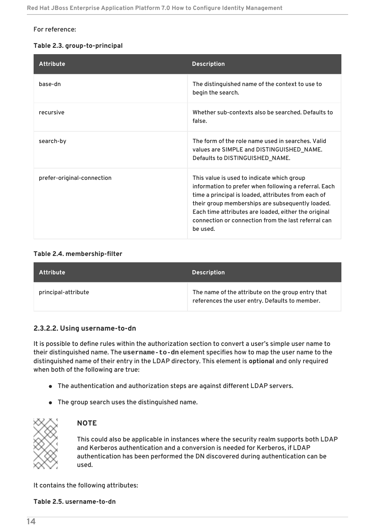#### For reference:

#### **Table 2.3. group-to-principal**

| <b>Attribute</b>           | <b>Description</b>                                                                                                                                                                                                                                                                                                                        |
|----------------------------|-------------------------------------------------------------------------------------------------------------------------------------------------------------------------------------------------------------------------------------------------------------------------------------------------------------------------------------------|
| base-dn                    | The distinguished name of the context to use to<br>begin the search.                                                                                                                                                                                                                                                                      |
| recursive                  | Whether sub-contexts also be searched. Defaults to<br>false.                                                                                                                                                                                                                                                                              |
| search-by                  | The form of the role name used in searches. Valid<br>values are SIMPLE and DISTINGUISHED_NAME.<br>Defaults to DISTINGUISHED_NAME.                                                                                                                                                                                                         |
| prefer-original-connection | This value is used to indicate which group<br>information to prefer when following a referral. Each<br>time a principal is loaded, attributes from each of<br>their group memberships are subsequently loaded.<br>Each time attributes are loaded, either the original<br>connection or connection from the last referral can<br>be used. |

#### **Table 2.4. membership-filter**

| <b>Attribute</b>    | <b>Description</b>                                                                                  |
|---------------------|-----------------------------------------------------------------------------------------------------|
| principal-attribute | The name of the attribute on the group entry that<br>references the user entry. Defaults to member. |

## <span id="page-17-0"></span>**2.3.2.2. Using username-to-dn**

It is possible to define rules within the authorization section to convert a user's simple user name to their distinguished name. The **username-to-dn** element specifies how to map the user name to the distinguished name of their entry in the LDAP directory. This element is **optional** and only required when both of the following are true:

- The authentication and authorization steps are against different LDAP servers.
- The group search uses the distinguished name.



## **NOTE**

This could also be applicable in instances where the security realm supports both LDAP and Kerberos authentication and a conversion is needed for Kerberos, if LDAP authentication has been performed the DN discovered during authentication can be used.

It contains the following attributes:

**Table 2.5. username-to-dn**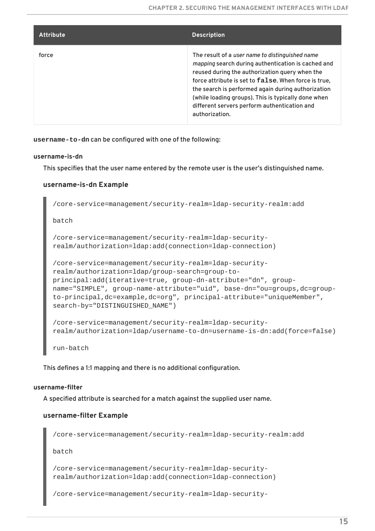<span id="page-18-0"></span>

| <b>Attribute</b> | <b>Description</b>                                                                                                                                                                                                                                                                                                                                                                             |
|------------------|------------------------------------------------------------------------------------------------------------------------------------------------------------------------------------------------------------------------------------------------------------------------------------------------------------------------------------------------------------------------------------------------|
| force            | The result of a user name to distinguished name<br>mapping search during authentication is cached and<br>reused during the authorization query when the<br>force attribute is set to false. When force is true,<br>the search is performed again during authorization<br>(while loading groups). This is typically done when<br>different servers perform authentication and<br>authorization. |

**username-to-dn** can be configured with one of the following:

#### **username-is-dn**

This specifies that the user name entered by the remote user is the user's distinguished name.

#### **username-is-dn Example**

```
/core-service=management/security-realm=ldap-security-realm:add
batch
/core-service=management/security-realm=ldap-security-
realm/authorization=ldap:add(connection=ldap-connection)
/core-service=management/security-realm=ldap-security-
realm/authorization=ldap/group-search=group-to-
principal:add(iterative=true, group-dn-attribute="dn", group-
name="SIMPLE", group-name-attribute="uid", base-dn="ou=groups,dc=group-
to-principal,dc=example,dc=org", principal-attribute="uniqueMember",
search-by="DISTINGUISHED_NAME")
/core-service=management/security-realm=ldap-security-
```

```
realm/authorization=ldap/username-to-dn=username-is-dn:add(force=false)
```
run-batch

This defines a 1:1 mapping and there is no additional configuration.

#### **username-filter**

A specified attribute is searched for a match against the supplied user name.

#### **username-filter Example**

```
/core-service=management/security-realm=ldap-security-realm:add
```
batch

```
/core-service=management/security-realm=ldap-security-
realm/authorization=ldap:add(connection=ldap-connection)
```
/core-service=management/security-realm=ldap-security-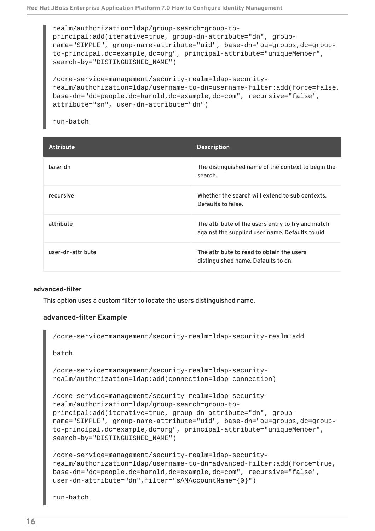realm/authorization=ldap/group-search=group-toprincipal:add(iterative=true, group-dn-attribute="dn", groupname="SIMPLE", group-name-attribute="uid", base-dn="ou=groups,dc=groupto-principal,dc=example,dc=org", principal-attribute="uniqueMember", search-by="DISTINGUISHED\_NAME")

```
/core-service=management/security-realm=ldap-security-
realm/authorization=ldap/username-to-dn=username-filter:add(force=false,
base-dn="dc=people,dc=harold,dc=example,dc=com", recursive="false",
attribute="sn", user-dn-attribute="dn")
```
run-batch

| <b>Attribute</b>  | <b>Description</b>                                                                                    |
|-------------------|-------------------------------------------------------------------------------------------------------|
| base-dn           | The distinguished name of the context to begin the<br>search.                                         |
| recursive         | Whether the search will extend to sub contexts.<br>Defaults to false.                                 |
| attribute         | The attribute of the users entry to try and match<br>against the supplied user name. Defaults to uid. |
| user-dn-attribute | The attribute to read to obtain the users<br>distinguished name. Defaults to dn.                      |

#### **advanced-filter**

This option uses a custom filter to locate the users distinguished name.

#### **advanced-filter Example**

```
/core-service=management/security-realm=ldap-security-realm:add
batch
/core-service=management/security-realm=ldap-security-
realm/authorization=ldap:add(connection=ldap-connection)
/core-service=management/security-realm=ldap-security-
realm/authorization=ldap/group-search=group-to-
principal:add(iterative=true, group-dn-attribute="dn", group-
name="SIMPLE", group-name-attribute="uid", base-dn="ou=groups,dc=group-
to-principal,dc=example,dc=org", principal-attribute="uniqueMember",
search-by="DISTINGUISHED_NAME")
/core-service=management/security-realm=ldap-security-
realm/authorization=ldap/username-to-dn=advanced-filter:add(force=true,
base-dn="dc=people,dc=harold,dc=example,dc=com", recursive="false",
```

```
user-dn-attribute="dn",filter="sAMAccountName={0}")
```
run-batch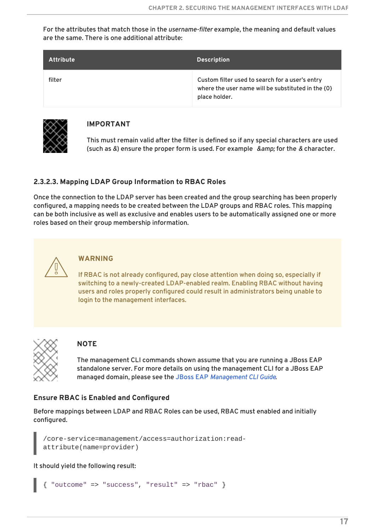For the attributes that match those in the *username-filter* example, the meaning and default values are the same. There is one additional attribute:

| <b>Attribute</b> | <b>Description</b>                                                                                                     |
|------------------|------------------------------------------------------------------------------------------------------------------------|
| filter           | Custom filter used to search for a user's entry<br>where the user name will be substituted in the {0}<br>place holder. |



#### **IMPORTANT**

This must remain valid after the filter is defined so if any special characters are used (such as *&*) ensure the proper form is used. For example *&* for the *&* character.

## <span id="page-20-0"></span>**2.3.2.3. Mapping LDAP Group Information to RBAC Roles**

Once the connection to the LDAP server has been created and the group searching has been properly configured, a mapping needs to be created between the LDAP groups and RBAC roles. This mapping can be both inclusive as well as exclusive and enables users to be automatically assigned one or more roles based on their group membership information.



## **WARNING**

If RBAC is not already configured, pay close attention when doing so, especially if switching to a newly-created LDAP-enabled realm. Enabling RBAC without having users and roles properly configured could result in administrators being unable to login to the management interfaces.



## **NOTE**

The management CLI commands shown assume that you are running a JBoss EAP standalone server. For more details on using the management CLI for a JBoss EAP managed domain, please see the JBoss EAP *[Management](https://access.redhat.com/documentation/en-us/red_hat_jboss_enterprise_application_platform/7.0/html-single/management_cli_guide/) CLI Guide*.

## **Ensure RBAC is Enabled and Configured**

Before mappings between LDAP and RBAC Roles can be used, RBAC must enabled and initially configured.

```
/core-service=management/access=authorization:read-
attribute(name=provider)
```
It should yield the following result:

```
"outcome" => "success", "result" => "rbac" }
```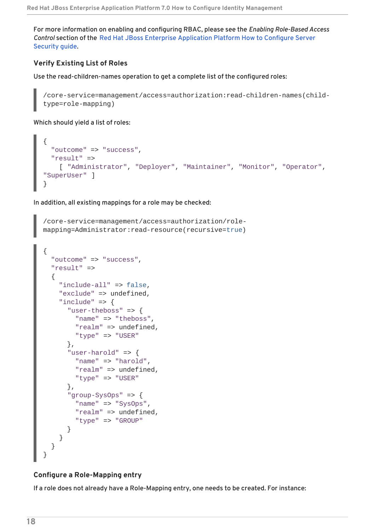For more information on enabling and configuring RBAC, please see the *Enabling Role-Based Access Control* section of the Red Hat JBoss Enterprise [Application](https://access.redhat.com/documentation/en-us/red_hat_jboss_enterprise_application_platform/7.0/html-single/how_to_configure_server_security/#enabling_role_based_access_control) Platform How to Configure Server Security guide.

## **Verify Existing List of Roles**

Use the read-children-names operation to get a complete list of the configured roles:

```
/core-service=management/access=authorization:read-children-names(child-
type=role-mapping)
```
Which should yield a list of roles:

```
{
  "outcome" => "success",
  "result" =>
    [ "Administrator", "Deployer", "Maintainer", "Monitor", "Operator",
"SuperUser" ]
}
```
In addition, all existing mappings for a role may be checked:

```
/core-service=management/access=authorization/role-
mapping=Administrator:read-resource(recursive=true)
```

```
{
  "outcome" => "success",
  "result" =>
  {
    "include-all" => false,
    "exclude" => undefined,
    "include" \Rightarrow {
      "user-theboss" => {
        "name" => "theboss",
        "realm" => undefined,
        "type" => "USER"
      },
      "user-harold" => {
        "name" => "harold",
        "realm" => undefined,
        "type" => "USER"
      },
      "group-SysOps" => {
        "name" => "SysOps",
        "realm" => undefined,
        "type" => "GROUP"
      }
    }
  }
}
```
## **Configure a Role-Mapping entry**

If a role does not already have a Role-Mapping entry, one needs to be created. For instance: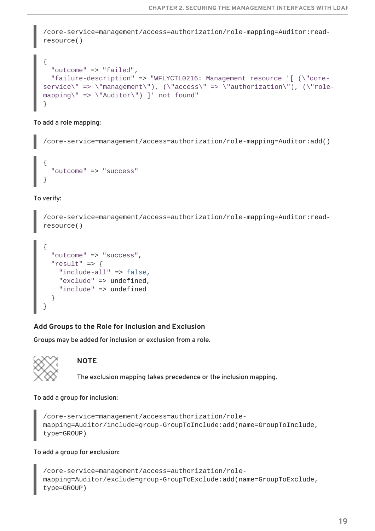```
/core-service=management/access=authorization/role-mapping=Auditor:read-
resource()
```

```
{
  "outcome" => "failed",
  "failure-description" => "WFLYCTL0216: Management resource '[ (\"core-
service\" => \"management\"), (\"access\" => \"authorization\"), (\"role-
mapping\" => \"Auditor\") ]' not found"
}
```
To add a role mapping:

```
/core-service=management/access=authorization/role-mapping=Auditor:add()
{
  "outcome" => "success"
}
```
To verify:

```
/core-service=management/access=authorization/role-mapping=Auditor:read-
resource()
```

```
{
  "outcome" => "success",
  "result" \Rightarrow f"include-all" => false,
    "exclude" => undefined,
    "include" => undefined
  }
}
```
## **Add Groups to the Role for Inclusion and Exclusion**

Groups may be added for inclusion or exclusion from a role.



## **NOTE**

The exclusion mapping takes precedence or the inclusion mapping.

To add a group for inclusion:

```
/core-service=management/access=authorization/role-
mapping=Auditor/include=group-GroupToInclude:add(name=GroupToInclude,
type=GROUP)
```
To add a group for exclusion:

```
/core-service=management/access=authorization/role-
mapping=Auditor/exclude=group-GroupToExclude:add(name=GroupToExclude,
type=GROUP)
```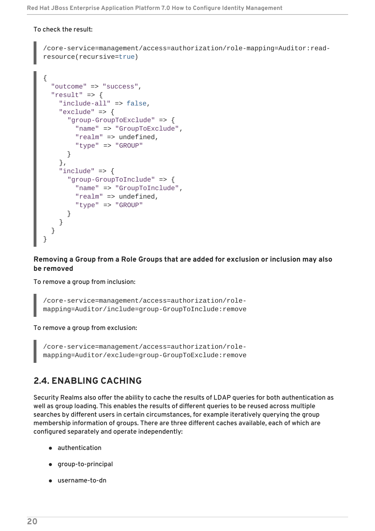#### To check the result:

```
/core-service=management/access=authorization/role-mapping=Auditor:read-
resource(recursive=true)
```

```
{
  "outcome" => "success",
  "result" \Rightarrow f"include-all" => false,
    "exclude" \Rightarrow {
       "group-GroupToExclude" => {
         "name" => "GroupToExclude",
         "realm" => undefined,
         "type" => "GROUP"
      }
    },
    "include" \Rightarrow {
       "group-GroupToInclude" => {
         "name" => "GroupToInclude",
         "realm" => undefined,
         "type" => "GROUP"
      }
    }
  }
}
```
#### **Removing a Group from a Role Groups that are added for exclusion or inclusion may also be removed**

To remove a group from inclusion:

```
/core-service=management/access=authorization/role-
mapping=Auditor/include=group-GroupToInclude:remove
```
To remove a group from exclusion:

```
/core-service=management/access=authorization/role-
mapping=Auditor/exclude=group-GroupToExclude:remove
```
## <span id="page-23-0"></span>**2.4. ENABLING CACHING**

Security Realms also offer the ability to cache the results of LDAP queries for both authentication as well as group loading. This enables the results of different queries to be reused across multiple searches by different users in certain circumstances, for example iteratively querying the group membership information of groups. There are three different caches available, each of which are configured separately and operate independently:

- authentication
- group-to-principal
- username-to-dn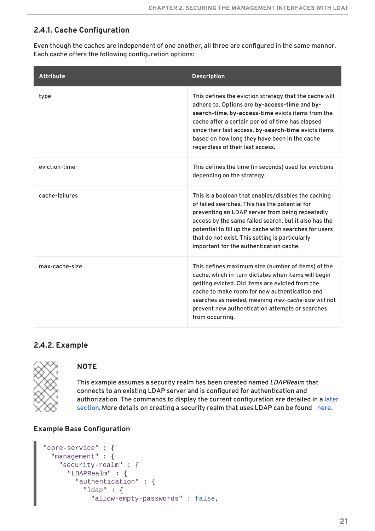## <span id="page-24-0"></span>**2.4.1. Cache Configuration**

Even though the caches are independent of one another, all three are configured in the same manner. Each cache offers the following configuration options:

| <b>Attribute</b> | <b>Description</b>                                                                                                                                                                                                                                                                                                                                                        |
|------------------|---------------------------------------------------------------------------------------------------------------------------------------------------------------------------------------------------------------------------------------------------------------------------------------------------------------------------------------------------------------------------|
| type             | This defines the eviction strategy that the cache will<br>adhere to. Options are by-access-time and by-<br>search-time. by-access-time evicts items from the<br>cache after a certain period of time has elapsed<br>since their last access. by-search-time evicts items<br>based on how long they have been in the cache<br>regardless of their last access.             |
| eviction-time    | This defines the time (in seconds) used for evictions<br>depending on the strategy.                                                                                                                                                                                                                                                                                       |
| cache-failures   | This is a boolean that enables/disables the caching<br>of failed searches. This has the potential for<br>preventing an LDAP server from being repeatedly<br>access by the same failed search, but it also has the<br>potential to fill up the cache with searches for users<br>that do not exist. This setting is particularly<br>important for the authentication cache. |
| max-cache-size   | This defines maximum size (number of items) of the<br>cache, which in-turn dictates when items will begin<br>getting evicted. Old items are evicted from the<br>cache to make room for new authentication and<br>searches as needed, meaning max-cache-size will not<br>prevent new authentication attempts or searches<br>from occurring.                                |

## <span id="page-24-1"></span>**2.4.2. Example**



## **NOTE**

This example assumes a security realm has been created named *LDAPRealm* that connects to an existing LDAP server and is configured for authentication and [authorization.](#page-26-0) The commands to display the current configuration are detailed in a later section. More details on creating a security realm that uses LDAP can be found [here](#page-9-0).

## **Example Base Configuration**

```
"core-service" : {
 "management" : {
   "security-realm" : {
      "LDAPRealm" : {
        "authentication" : {
          "ldap" : {
            "allow-empty-passwords" : false,
```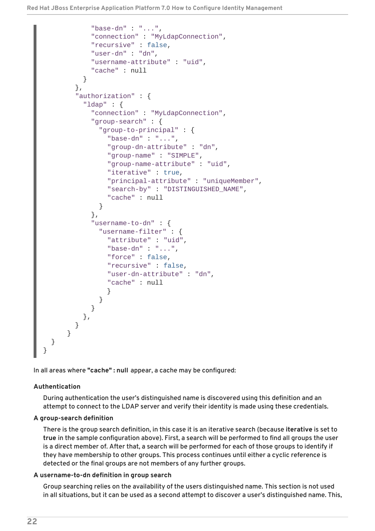```
"base-dn" : "...",
            "connection" : "MyLdapConnection",
            "recursive" : false,
            "user-dn" : "dn",
            "username-attribute" : "uid",
            "cache" : null
          }
        },
        "authorization" : {
          "lday" : {
            "connection" : "MyLdapConnection",
            "group-search" : {
              "group-to-principal" : {
                "base-dn" : "...",
                "group-dn-attribute" : "dn",
                "group-name" : "SIMPLE",
                "group-name-attribute" : "uid",
                "iterative" : true,
                "principal-attribute" : "uniqueMember",
                "search-by" : "DISTINGUISHED_NAME",
                "cache" : null
              }
            },
            "username-to-dn" : {
              "username-filter" : {
                "attribute" : "uid",
                "base-dn" : "...",
                "force" : false,
                "recursive" : false,
                "user-dn-attribute" : "dn",
                "cache" : null
                }
              }
            }
          },
       }
     }
 }
}
```
In all areas where **"cache" : null** appear, a cache may be configured:

#### **Authentication**

During authentication the user's distinguished name is discovered using this definition and an attempt to connect to the LDAP server and verify their identity is made using these credentials.

#### **A group-search definition**

There is the group search definition, in this case it is an iterative search (because **iterative** is set to **true** in the sample configuration above). First, a search will be performed to find all groups the user is a direct member of. After that, a search will be performed for each of those groups to identify if they have membership to other groups. This process continues until either a cyclic reference is detected or the final groups are not members of any further groups.

#### **A username-to-dn definition in group search**

Group searching relies on the availability of the users distinguished name. This section is not used in all situations, but it can be used as a second attempt to discover a user's distinguished name. This,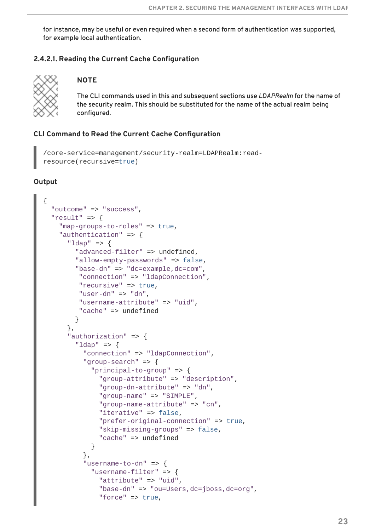for instance, may be useful or even required when a second form of authentication was supported, for example local authentication.

## <span id="page-26-0"></span>**2.4.2.1. Reading the Current Cache Configuration**



## **NOTE**

The CLI commands used in this and subsequent sections use *LDAPRealm* for the name of the security realm. This should be substituted for the name of the actual realm being configured.

#### **CLI Command to Read the Current Cache Configuration**

```
/core-service=management/security-realm=LDAPRealm:read-
resource(recursive=true)
```
## **Output**

```
{
  "outcome" => "success",
  "result" \Rightarrow f"map-groups-to-roles" => true,
    "authentication" \Rightarrow {
      "ldap" \Rightarrow {
        "advanced-filter" => undefined,
        "allow-empty-passwords" => false,
        "base-dn" => "dc=example, dc=com",
         "connection" => "ldapConnection",
         "recursive" => true,
         "user-dn" \Rightarrow "dn",
         "username-attribute" => "uid",
         "cache" => undefined
        }
      },
      "authorization" => {
        "ldap" \Rightarrow f"connection" => "ldapConnection",
           "group-search" \Rightarrow {
             "principal-to-group" => {
               "group-attribute" => "description",
               "group-dn-attribute" => "dn",
               "group-name" => "SIMPLE",
               "group-name-attribute" => "cn",
               "iterative" => false,
               "prefer-original-connection" => true,
               "skip-missing-groups" => false,
               "cache" => undefined
             }
          },
           "username-to-dn" \Rightarrow {
             "username-filter" => {
               "attribute" => "uid",
               "base-dn" => "ou=Users,dc=jboss,dc=org",
               "force" => true,
```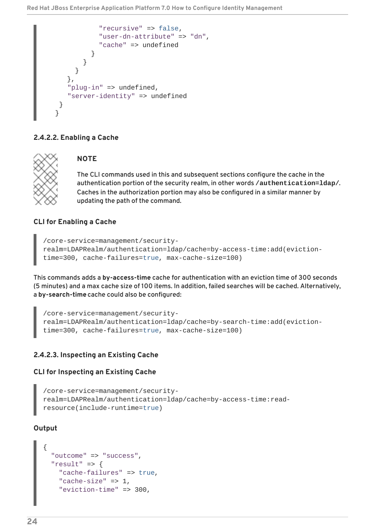```
"recursive" => false,
           "user-dn-attribute" => "dn",
           "cache" => undefined
         }
       }
     }
   },
   "plug-in" => undefined,
   "server-identity" => undefined
 }
}
```
## <span id="page-27-0"></span>**2.4.2.2. Enabling a Cache**



## **NOTE**

The CLI commands used in this and subsequent sections configure the cache in the authentication portion of the security realm, in other words **/authentication=ldap/**. Caches in the authorization portion may also be configured in a similar manner by updating the path of the command.

#### **CLI for Enabling a Cache**

```
/core-service=management/security-
realm=LDAPRealm/authentication=ldap/cache=by-access-time:add(eviction-
time=300, cache-failures=true, max-cache-size=100)
```
This commands adds a **by-access-time** cache for authentication with an eviction time of 300 seconds (5 minutes) and a max cache size of 100 items. In addition, failed searches will be cached. Alternatively, a **by-search-time** cache could also be configured:

```
/core-service=management/security-
realm=LDAPRealm/authentication=ldap/cache=by-search-time:add(eviction-
time=300, cache-failures=true, max-cache-size=100)
```
## <span id="page-27-1"></span>**2.4.2.3. Inspecting an Existing Cache**

## **CLI for Inspecting an Existing Cache**

```
/core-service=management/security-
realm=LDAPRealm/authentication=ldap/cache=by-access-time:read-
resource(include-runtime=true)
```
## **Output**

```
{
  "outcome" => "success",
  "result" \Rightarrow f"cache-failures" => true,
    "cache-size" \Rightarrow 1,
    "eviction-time" => 300,
```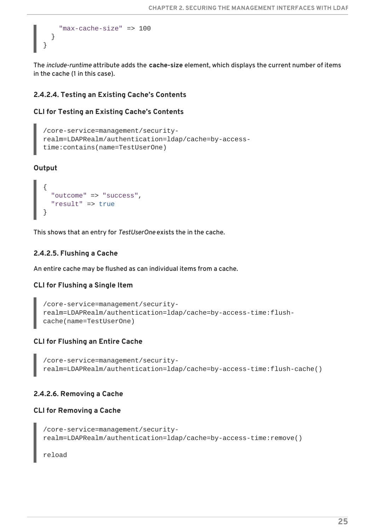```
"max-cache-size" => 100
  }
}
```
The *include-runtime* attribute adds the **cache-size** element, which displays the current number of items in the cache (1 in this case).

## <span id="page-28-0"></span>**2.4.2.4. Testing an Existing Cache's Contents**

## **CLI for Testing an Existing Cache's Contents**

```
/core-service=management/security-
realm=LDAPRealm/authentication=ldap/cache=by-access-
time:contains(name=TestUserOne)
```
## **Output**

```
{
  "outcome" => "success",
 "result" => true
}
```
This shows that an entry for *TestUserOne* exists the in the cache.

## <span id="page-28-1"></span>**2.4.2.5. Flushing a Cache**

An entire cache may be flushed as can individual items from a cache.

## **CLI for Flushing a Single Item**

```
/core-service=management/security-
realm=LDAPRealm/authentication=ldap/cache=by-access-time:flush-
cache(name=TestUserOne)
```
## **CLI for Flushing an Entire Cache**

```
/core-service=management/security-
realm=LDAPRealm/authentication=ldap/cache=by-access-time:flush-cache()
```
## <span id="page-28-2"></span>**2.4.2.6. Removing a Cache**

## **CLI for Removing a Cache**

```
/core-service=management/security-
realm=LDAPRealm/authentication=ldap/cache=by-access-time:remove()
```
reload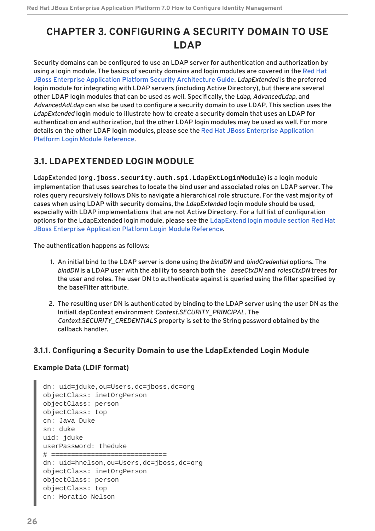## <span id="page-29-0"></span>**CHAPTER 3. CONFIGURING A SECURITY DOMAIN TO USE LDAP**

Security domains can be configured to use an LDAP server for authentication and authorization by using a login module. The basics of security domains and login modules are covered in the Red Hat JBoss Enterprise Application Platform Security Architecture Guide. *[LdapExtended](https://access.redhat.com/documentation/en-us/red_hat_jboss_enterprise_application_platform/7.0/html-single/security_architecture/)* is the preferred login module for integrating with LDAP servers (including Active Directory), but there are several other LDAP login modules that can be used as well. Specifically, the *Ldap*, *AdvancedLdap*, and *AdvancedAdLdap* can also be used to configure a security domain to use LDAP. This section uses the *LdapExtended* login module to illustrate how to create a security domain that uses an LDAP for authentication and authorization, but the other LDAP login modules may be used as well. For more details on the other LDAP login modules, please see the Red Hat JBoss Enterprise [Application](https://access.redhat.com/documentation/en-us/red_hat_jboss_enterprise_application_platform/7.0/html-single/login_module_reference/) Platform Login Module Reference.

## <span id="page-29-1"></span>**3.1. LDAPEXTENDED LOGIN MODULE**

LdapExtended (**org.jboss.security.auth.spi.LdapExtLoginModule**) is a login module implementation that uses searches to locate the bind user and associated roles on LDAP server. The roles query recursively follows DNs to navigate a hierarchical role structure. For the vast majority of cases when using LDAP with security domains, the *LdapExtended* login module should be used, especially with LDAP implementations that are not Active Directory. For a full list of configuration options for the [LdapExtended](https://access.redhat.com/documentation/en-us/red_hat_jboss_enterprise_application_platform/7.0/html-single/login_module_reference/#ldapextended_login_module) login module, please see the LdapExtend login module section Red Hat JBoss Enterprise Application Platform Login Module Reference.

The authentication happens as follows:

- 1. An initial bind to the LDAP server is done using the *bindDN* and *bindCredential* options. The *bindDN* is a LDAP user with the ability to search both the *baseCtxDN* and *rolesCtxDN* trees for the user and roles. The user DN to authenticate against is queried using the filter specified by the baseFilter attribute.
- 2. The resulting user DN is authenticated by binding to the LDAP server using the user DN as the InitialLdapContext environment *Context.SECURITY\_PRINCIPAL*. The *Context.SECURITY\_CREDENTIALS* property is set to the String password obtained by the callback handler.

## <span id="page-29-2"></span>**3.1.1. Configuring a Security Domain to use the LdapExtended Login Module**

## **Example Data (LDIF format)**

```
dn: uid=jduke,ou=Users,dc=jboss,dc=org
objectClass: inetOrgPerson
objectClass: person
objectClass: top
cn: Java Duke
sn: duke
uid: jduke
userPassword: theduke
# =============================
dn: uid=hnelson,ou=Users,dc=jboss,dc=org
objectClass: inetOrgPerson
objectClass: person
objectClass: top
cn: Horatio Nelson
```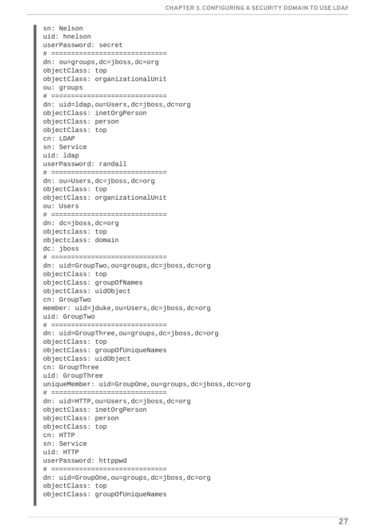sn: Nelson uid: hnelson userPassword: secret # ============================= dn: ou=groups,dc=jboss,dc=org objectClass: top objectClass: organizationalUnit ou: groups # ============================= dn: uid=ldap,ou=Users,dc=jboss,dc=org objectClass: inetOrgPerson objectClass: person objectClass: top cn: LDAP sn: Service uid: ldap userPassword: randall # ============================= dn: ou=Users,dc=jboss,dc=org objectClass: top objectClass: organizationalUnit ou: Users # ============================= dn: dc=jboss,dc=org objectclass: top objectclass: domain dc: jboss # ============================= dn: uid=GroupTwo,ou=groups,dc=jboss,dc=org objectClass: top objectClass: groupOfNames objectClass: uidObject cn: GroupTwo member: uid=jduke, ou=Users, dc=jboss, dc=org uid: GroupTwo # ============================= dn: uid=GroupThree,ou=groups,dc=jboss,dc=org objectClass: top objectClass: groupOfUniqueNames objectClass: uidObject cn: GroupThree uid: GroupThree uniqueMember: uid=GroupOne, ou=groups, dc=jboss, dc=org # ============================= dn: uid=HTTP,ou=Users,dc=jboss,dc=org objectClass: inetOrgPerson objectClass: person objectClass: top cn: HTTP sn: Service uid: HTTP userPassword: httppwd # ============================= dn: uid=GroupOne,ou=groups,dc=jboss,dc=org objectClass: top objectClass: groupOfUniqueNames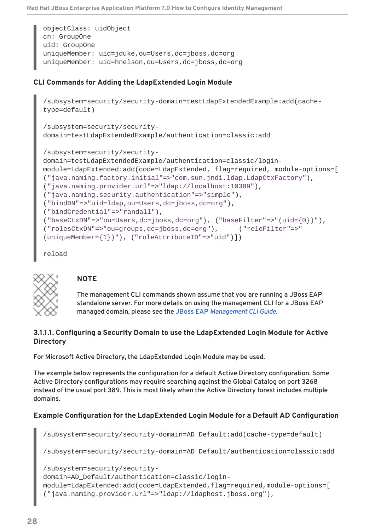```
objectClass: uidObject
cn: GroupOne
uid: GroupOne
uniqueMember: uid=jduke, ou=Users, dc=jboss, dc=org
uniqueMember: uid=hnelson,ou=Users,dc=jboss,dc=org
```
## **CLI Commands for Adding the LdapExtended Login Module**

```
/subsystem=security/security-domain=testLdapExtendedExample:add(cache-
type=default)
/subsystem=security/security-
domain=testLdapExtendedExample/authentication=classic:add
/subsystem=security/security-
domain=testLdapExtendedExample/authentication=classic/login-
module=LdapExtended:add(code=LdapExtended, flag=required, module-options=[
("java.naming.factory.initial"=>"com.sun.jndi.ldap.LdapCtxFactory"),
("java.naming.provider.url"=>"ldap://localhost:10389"),
("java.naming.security.authentication"=>"simple"),
("bindDN"=>"uid=ldap,ou=Users,dc=jboss,dc=org"),
("bindCredential"=>"randall"),
("baseCtxDN"=>"ou=Users,dc=jboss,dc=org"), ("baseFilter"=>"(uid={0})"),
("rolesCtxDN"=>"ou=groups,dc=jboss,dc=org"), ("roleFilter"=>"
(uniqueMember={1})"), ("roleAttributeID"=>"uid")])
```
reload



## **NOTE**

The management CLI commands shown assume that you are running a JBoss EAP standalone server. For more details on using the management CLI for a JBoss EAP managed domain, please see the JBoss EAP *[Management](https://access.redhat.com/documentation/en-us/red_hat_jboss_enterprise_application_platform/7.0/html-single/management_cli_guide/) CLI Guide*.

## <span id="page-31-0"></span>**3.1.1.1. Configuring a Security Domain to use the LdapExtended Login Module for Active Directory**

For Microsoft Active Directory, the LdapExtended Login Module may be used.

("java.naming.provider.url"=>"ldap://ldaphost.jboss.org"),

The example below represents the configuration for a default Active Directory configuration. Some Active Directory configurations may require searching against the Global Catalog on port 3268 instead of the usual port 389. This is most likely when the Active Directory forest includes multiple domains.

## **Example Configuration for the LdapExtended Login Module for a Default AD Configuration**

```
/subsystem=security/security-domain=AD_Default:add(cache-type=default)
/subsystem=security/security-domain=AD_Default/authentication=classic:add
/subsystem=security/security-
domain=AD_Default/authentication=classic/login-
module=LdapExtended:add(code=LdapExtended,flag=required,module-options=[
```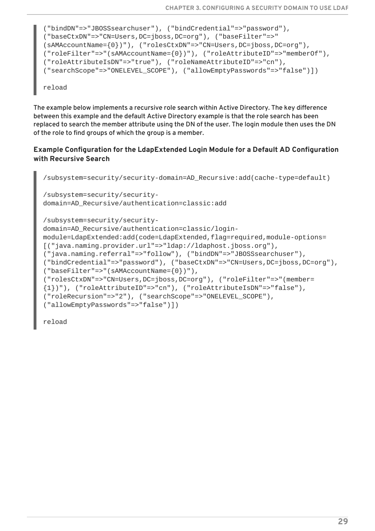```
("bindDN"=>"JBOSSsearchuser"), ("bindCredential"=>"password"),
("baseCtxDN"=>"CN=Users,DC=jboss,DC=org"), ("baseFilter"=>"
(sAMAccountName={0})"), ("rolesCtxDN"=>"CN=Users,DC=jboss,DC=org"),
("roleFilter"=>"(sAMAccountName={0})"), ("roleAttributeID"=>"memberOf"),
("roleAttributeIsDN"=>"true"), ("roleNameAttributeID"=>"cn"),
("searchScope"=>"ONELEVEL_SCOPE"), ("allowEmptyPasswords"=>"false")])
```
reload

The example below implements a recursive role search within Active Directory. The key difference between this example and the default Active Directory example is that the role search has been replaced to search the member attribute using the DN of the user. The login module then uses the DN of the role to find groups of which the group is a member.

#### **Example Configuration for the LdapExtended Login Module for a Default AD Configuration with Recursive Search**

```
/subsystem=security/security-domain=AD_Recursive:add(cache-type=default)
/subsystem=security/security-
domain=AD_Recursive/authentication=classic:add
/subsystem=security/security-
domain=AD_Recursive/authentication=classic/login-
module=LdapExtended:add(code=LdapExtended,flag=required,module-options=
[("java.naming.provider.url"=>"ldap://ldaphost.jboss.org"),
("java.naming.referral"=>"follow"), ("bindDN"=>"JBOSSsearchuser"),
("bindCredential"=>"password"), ("baseCtxDN"=>"CN=Users,DC=jboss,DC=org"),
("baseFilter"=>"(sAMAccountName={0})"),
("rolesCtxDN"=>"CN=Users,DC=jboss,DC=org"), ("roleFilter"=>"(member=
{1})"), ("roleAttributeID"=>"cn"), ("roleAttributeIsDN"=>"false"),
("roleRecursion"=>"2"), ("searchScope"=>"ONELEVEL_SCOPE"),
("allowEmptyPasswords"=>"false")])
```
reload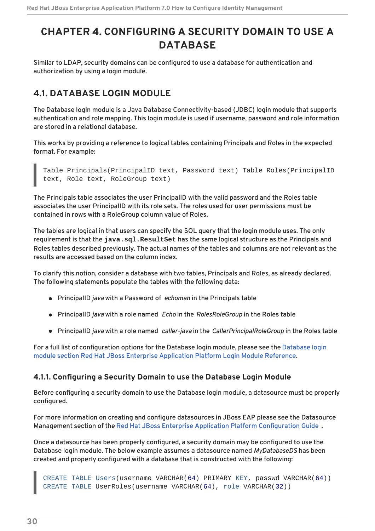## <span id="page-33-0"></span>**CHAPTER 4. CONFIGURING A SECURITY DOMAIN TO USE A DATABASE**

Similar to LDAP, security domains can be configured to use a database for authentication and authorization by using a login module.

## <span id="page-33-1"></span>**4.1. DATABASE LOGIN MODULE**

The Database login module is a Java Database Connectivity-based (JDBC) login module that supports authentication and role mapping. This login module is used if username, password and role information are stored in a relational database.

This works by providing a reference to logical tables containing Principals and Roles in the expected format. For example:

Table Principals(PrincipalID text, Password text) Table Roles(PrincipalID text, Role text, RoleGroup text)

The Principals table associates the user PrincipalID with the valid password and the Roles table associates the user PrincipalID with its role sets. The roles used for user permissions must be contained in rows with a RoleGroup column value of Roles.

The tables are logical in that users can specify the SQL query that the login module uses. The only requirement is that the **java.sql.ResultSet** has the same logical structure as the Principals and Roles tables described previously. The actual names of the tables and columns are not relevant as the results are accessed based on the column index.

To clarify this notion, consider a database with two tables, Principals and Roles, as already declared. The following statements populate the tables with the following data:

- PrincipalID *java* with a Password of *echoman* in the Principals table
- PrincipalID *java* with a role named *Echo* in the *RolesRoleGroup* in the Roles table
- PrincipalID *java* with a role named *caller-java* in the *CallerPrincipalRoleGroup* in the Roles table

For a full list of [configuration](https://access.redhat.com/documentation/en-us/red_hat_jboss_enterprise_application_platform/7.0/html-single/login_module_reference/#database_login_module) options for the Database login module, please see the Database login module section Red Hat JBoss Enterprise Application Platform Login Module Reference.

## <span id="page-33-2"></span>**4.1.1. Configuring a Security Domain to use the Database Login Module**

Before configuring a security domain to use the Database login module, a datasource must be properly configured.

For more information on creating and configure datasources in JBoss EAP please see the Datasource Management section of the Red Hat JBoss Enterprise Application Platform [Configuration](https://access.redhat.com/documentation/en-us/red_hat_jboss_enterprise_application_platform/7.0/html-single/configuration_guide/#datasource_management) Guide .

Once a datasource has been properly configured, a security domain may be configured to use the Database login module. The below example assumes a datasource named *MyDatabaseDS* has been created and properly configured with a database that is constructed with the following:

CREATE TABLE Users(username VARCHAR(64) PRIMARY KEY, passwd VARCHAR(64)) CREATE TABLE UserRoles(username VARCHAR(64), role VARCHAR(32))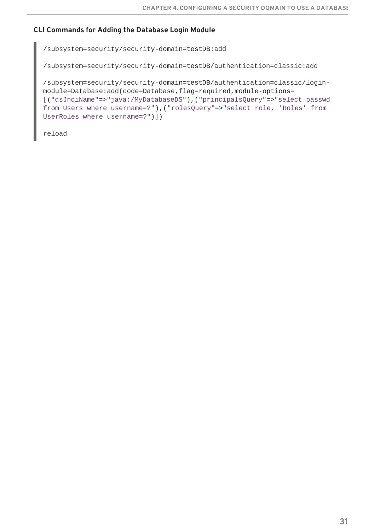## **CLI Commands for Adding the Database Login Module**

/subsystem=security/security-domain=testDB:add

/subsystem=security/security-domain=testDB/authentication=classic:add

```
/subsystem=security/security-domain=testDB/authentication=classic/login-
module=Database:add(code=Database,flag=required,module-options=
[("dsJndiName"=>"java:/MyDatabaseDS"),("principalsQuery"=>"select passwd
from Users where username=?"),("rolesQuery"=>"select role, 'Roles' from
UserRoles where username=?")])
```
reload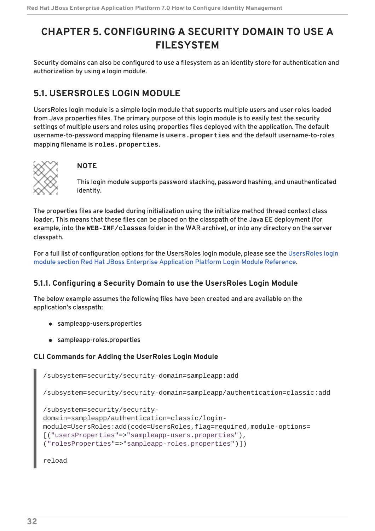## <span id="page-35-0"></span>**CHAPTER 5. CONFIGURING A SECURITY DOMAIN TO USE A FILESYSTEM**

Security domains can also be configured to use a filesystem as an identity store for authentication and authorization by using a login module.

## <span id="page-35-1"></span>**5.1. USERSROLES LOGIN MODULE**

UsersRoles login module is a simple login module that supports multiple users and user roles loaded from Java properties files. The primary purpose of this login module is to easily test the security settings of multiple users and roles using properties files deployed with the application. The default username-to-password mapping filename is **users.properties** and the default username-to-roles mapping filename is **roles.properties**.



## **NOTE**

This login module supports password stacking, password hashing, and unauthenticated identity.

The properties files are loaded during initialization using the initialize method thread context class loader. This means that these files can be placed on the classpath of the Java EE deployment (for example, into the **WEB-INF/classes** folder in the WAR archive), or into any directory on the server classpath.

For a full list of [configuration](https://access.redhat.com/documentation/en-us/red_hat_jboss_enterprise_application_platform/7.0/html-single/login_module_reference/#usersroles_login_module) options for the UsersRoles login module, please see the UsersRoles login module section Red Hat JBoss Enterprise Application Platform Login Module Reference.

## <span id="page-35-2"></span>**5.1.1. Configuring a Security Domain to use the UsersRoles Login Module**

The below example assumes the following files have been created and are available on the application's classpath:

- sampleapp-users.properties
- sampleapp-roles.properties

## **CLI Commands for Adding the UserRoles Login Module**

/subsystem=security/security-domain=sampleapp:add

/subsystem=security/security-domain=sampleapp/authentication=classic:add

```
/subsystem=security/security-
domain=sampleapp/authentication=classic/login-
module=UsersRoles:add(code=UsersRoles,flag=required,module-options=
[("usersProperties"=>"sampleapp-users.properties"),
("rolesProperties"=>"sampleapp-roles.properties")])
```
reload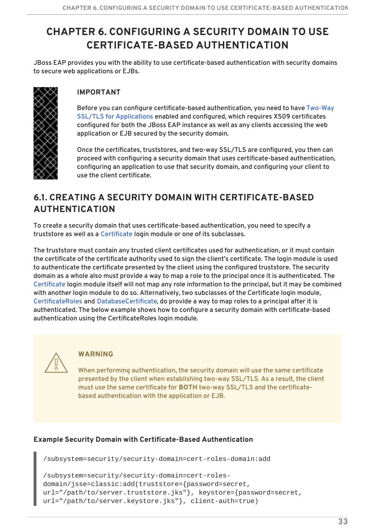## <span id="page-36-0"></span>**CHAPTER 6. CONFIGURING A SECURITY DOMAIN TO USE CERTIFICATE-BASED AUTHENTICATION**

JBoss EAP provides you with the ability to use certificate-based authentication with security domains to secure web applications or EJBs.



## **IMPORTANT**

Before you can configure [certificate-based](https://access.redhat.com/documentation/en-us/red_hat_jboss_enterprise_application_platform/7.0/html-single/how_to_configure_server_security/#application_2-way_ssl) authentication, you need to have Two-Way SSL/TLS for Applications enabled and configured, which requires X509 certificates configured for both the JBoss EAP instance as well as any clients accessing the web application or EJB secured by the security domain.

Once the certificates, truststores, and two-way SSL/TLS are configured, you then can proceed with configuring a security domain that uses certificate-based authentication, configuring an application to use that security domain, and configuring your client to use the client certificate.

## <span id="page-36-1"></span>**6.1. CREATING A SECURITY DOMAIN WITH CERTIFICATE-BASED AUTHENTICATION**

To create a security domain that uses certificate-based authentication, you need to specify a truststore as well as a [Certificate](https://access.redhat.com/documentation/en-us/red_hat_jboss_enterprise_application_platform/7.0/html-single/login_module_reference/#certificate_based_login_modules) login module or one of its subclasses.

The truststore must contain any trusted client certificates used for authentication, or it must contain the certificate of the certificate authority used to sign the client's certificate. The login module is used to authenticate the certificate presented by the client using the configured truststore. The security domain as a whole also must provide a way to map a role to the principal once it is authenticated. The [Certificate](https://access.redhat.com/documentation/en-us/red_hat_jboss_enterprise_application_platform/7.0/html-single/login_module_reference/.xml#certificate_based_login_modules) login module itself will not map any role information to the principal, but it may be combined with another login module to do so. Alternatively, two subclasses of the Certificate login module, [CertificateRoles](https://access.redhat.com/documentation/en-us/red_hat_jboss_enterprise_application_platform/7.0/html-single/login_module_reference/#certificateroles_login_module) and [DatabaseCertificate,](https://access.redhat.com/documentation/en-us/red_hat_jboss_enterprise_application_platform/7.0/html-single/login_module_reference/#databasecertificate_login_module) do provide a way to map roles to a principal after it is authenticated. The below example shows how to configure a security domain with certificate-based authentication using the CertificateRoles login module.



## **WARNING**

When performing authentication, the security domain will use the same certificate presented by the client when establishing two-way SSL/TLS. As a result, the client must use the same certificate for **BOTH** two-way SSL/TLS and the certificatebased authentication with the application or EJB.

## **Example Security Domain with Certificate-Based Authentication**

/subsystem=security/security-domain=cert-roles-domain:add

```
/subsystem=security/security-domain=cert-roles-
domain/jsse=classic:add(truststore={password=secret,
url="/path/to/server.truststore.jks"}, keystore={password=secret,
url="/path/to/server.keystore.jks"}, client-auth=true)
```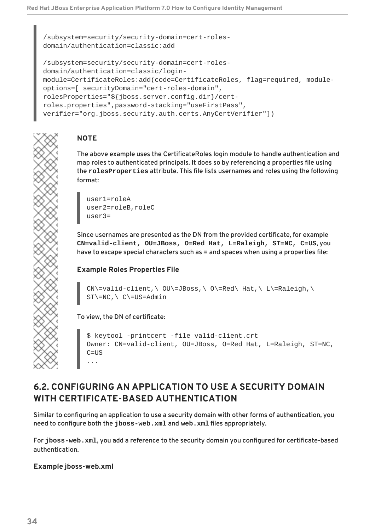/subsystem=security/security-domain=cert-rolesdomain/authentication=classic:add

```
/subsystem=security/security-domain=cert-roles-
domain/authentication=classic/login-
module=CertificateRoles:add(code=CertificateRoles, flag=required, module-
options=[ securityDomain="cert-roles-domain",
rolesProperties="${jboss.server.config.dir}/cert-
roles.properties",password-stacking="useFirstPass",
verifier="org.jboss.security.auth.certs.AnyCertVerifier"])
```
## **NOTE**

The above example uses the CertificateRoles login module to handle authentication and map roles to authenticated principals. It does so by referencing a properties file using the **rolesProperties** attribute. This file lists usernames and roles using the following format:

```
user1=roleA
user2=roleB,roleC
user3=
```
Since usernames are presented as the DN from the provided certificate, for example **CN=valid-client, OU=JBoss, O=Red Hat, L=Raleigh, ST=NC, C=US**, you have to escape special characters such as **=** and spaces when using a properties file:

**Example Roles Properties File**

```
CN\>=valid\--client, \ OU\>=Boss, \ O\>=Red\ that, \ O\>=Raleigh, \ O\ST\=NC,\ C\=US=Admin
```
To view, the DN of certificate:

```
$ keytool -printcert -file valid-client.crt
Owner: CN=valid-client, OU=JBoss, O=Red Hat, L=Raleigh, ST=NC,
C=US
...
```
## <span id="page-37-0"></span>**6.2. CONFIGURING AN APPLICATION TO USE A SECURITY DOMAIN WITH CERTIFICATE-BASED AUTHENTICATION**

Similar to configuring an application to use a security domain with other forms of authentication, you need to configure both the **jboss-web.xml** and **web.xml** files appropriately.

For **jboss-web.xml**, you add a reference to the security domain you configured for certificate-based authentication.

**Example jboss-web.xml**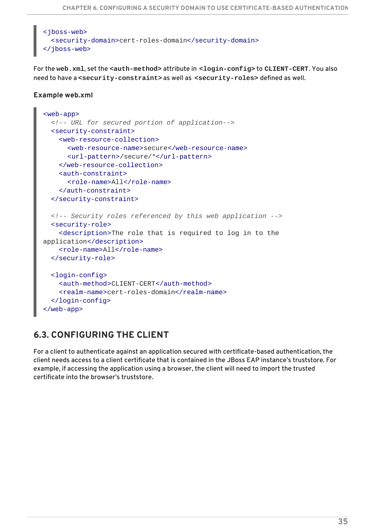```
<jboss-web>
  <security-domain>cert-roles-domain</security-domain>
</jboss-web>
```
For the **web.xml**, set the **<auth-method>** attribute in **<login-config>** to **CLIENT-CERT**. You also need to have a **<security-constraint>** as well as **<security-roles>** defined as well.

## **Example web.xml**

```
<web-app>
  <!-- URL for secured portion of application-->
  <security-constraint>
    <web-resource-collection>
      <web-resource-name>secure</web-resource-name>
      <url-pattern>/secure/*</url-pattern>
    </web-resource-collection>
    <auth-constraint>
      <role-name>All</role-name>
    </auth-constraint>
  </security-constraint>
  <!-- Security roles referenced by this web application -->
  <security-role>
    <description>The role that is required to log in to the
application</description>
    <role-name>All</role-name>
  </security-role>
  <login-config>
    <auth-method>CLIENT-CERT</auth-method>
    <realm-name>cert-roles-domain</realm-name>
  </login-config>
</web-app>
```
## <span id="page-38-0"></span>**6.3. CONFIGURING THE CLIENT**

For a client to authenticate against an application secured with certificate-based authentication, the client needs access to a client certificate that is contained in the JBoss EAP instance's truststore. For example, if accessing the application using a browser, the client will need to import the trusted certificate into the browser's truststore.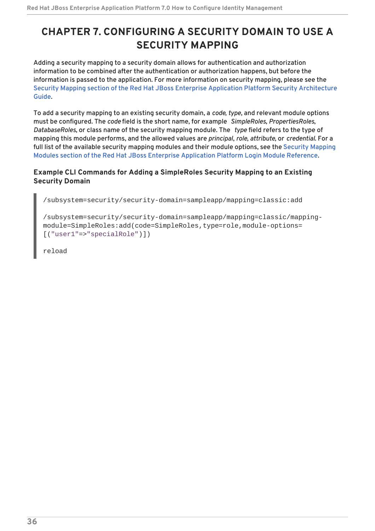## <span id="page-39-0"></span>**CHAPTER 7. CONFIGURING A SECURITY DOMAIN TO USE A SECURITY MAPPING**

Adding a security mapping to a security domain allows for authentication and authorization information to be combined after the authentication or authorization happens, but before the information is passed to the application. For more information on security mapping, please see the Security Mapping section of the Red Hat JBoss Enterprise Application Platform Security [Architecture](https://access.redhat.com/documentation/en-us/red_hat_jboss_enterprise_application_platform/7.0/html-single/security_architecture/#security_mapping) Guide.

To add a security mapping to an existing security domain, a *code*, *type*, and relevant module options must be configured. The *code* field is the short name, for example *SimpleRoles*, *PropertiesRoles*, *DatabaseRoles*, or class name of the security mapping module. The *type* field refers to the type of mapping this module performs, and the allowed values are *principal*, *role*, *attribute*, or *credential*. For a full list of the available security mapping modules and their module options, see the Security Mapping Modules section of the Red Hat JBoss Enterprise [Application](https://access.redhat.com/documentation/en-us/red_hat_jboss_enterprise_application_platform/7.0/html-single/login_module_reference/#security_mapping_modules) Platform Login Module Reference.

## **Example CLI Commands for Adding a SimpleRoles Security Mapping to an Existing Security Domain**

/subsystem=security/security-domain=sampleapp/mapping=classic:add

/subsystem=security/security-domain=sampleapp/mapping=classic/mappingmodule=SimpleRoles:add(code=SimpleRoles,type=role,module-options= [("user1"=>"specialRole")])

reload